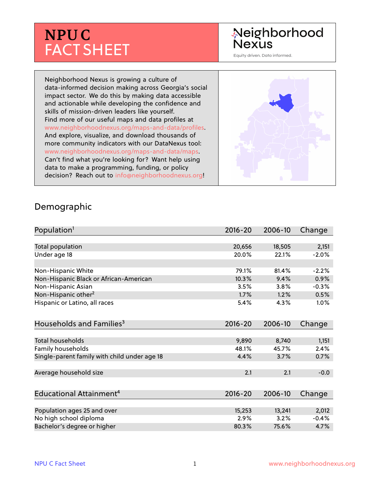# **NPU C** FACT SHEET

## Neighborhood **Nexus**

Equity driven. Data informed.

Neighborhood Nexus is growing a culture of data-informed decision making across Georgia's social impact sector. We do this by making data accessible and actionable while developing the confidence and skills of mission-driven leaders like yourself. Find more of our useful maps and data profiles at www.neighborhoodnexus.org/maps-and-data/profiles. And explore, visualize, and download thousands of more community indicators with our DataNexus tool: www.neighborhoodnexus.org/maps-and-data/maps. Can't find what you're looking for? Want help using data to make a programming, funding, or policy decision? Reach out to [info@neighborhoodnexus.org!](mailto:info@neighborhoodnexus.org)



#### Demographic

| Population <sup>1</sup>                      | $2016 - 20$ | 2006-10 | Change  |
|----------------------------------------------|-------------|---------|---------|
|                                              |             |         |         |
| Total population                             | 20,656      | 18,505  | 2,151   |
| Under age 18                                 | 20.0%       | 22.1%   | $-2.0%$ |
| Non-Hispanic White                           | 79.1%       | 81.4%   | $-2.2%$ |
| Non-Hispanic Black or African-American       | 10.3%       | 9.4%    | 0.9%    |
| Non-Hispanic Asian                           | 3.5%        | 3.8%    | $-0.3%$ |
| Non-Hispanic other <sup>2</sup>              | 1.7%        | 1.2%    | 0.5%    |
| Hispanic or Latino, all races                | 5.4%        | 4.3%    | $1.0\%$ |
| Households and Families <sup>3</sup>         | $2016 - 20$ | 2006-10 | Change  |
| <b>Total households</b>                      | 9,890       | 8,740   | 1,151   |
| Family households                            | 48.1%       | 45.7%   | 2.4%    |
| Single-parent family with child under age 18 | 4.4%        | 3.7%    | 0.7%    |
| Average household size                       | 2.1         | 2.1     | $-0.0$  |
| Educational Attainment <sup>4</sup>          | $2016 - 20$ | 2006-10 | Change  |
|                                              |             |         |         |
| Population ages 25 and over                  | 15,253      | 13,241  | 2,012   |
| No high school diploma                       | 2.9%        | 3.2%    | $-0.4%$ |
| Bachelor's degree or higher                  | 80.3%       | 75.6%   | 4.7%    |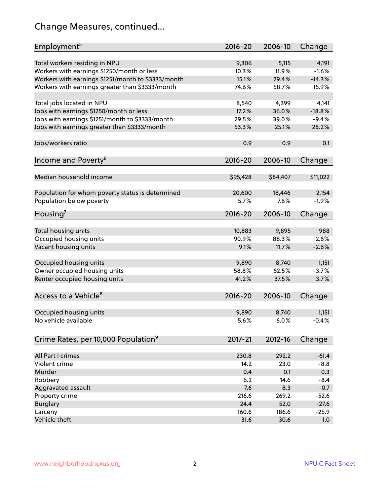## Change Measures, continued...

| Employment <sup>5</sup>                            | $2016 - 20$ | 2006-10  | Change   |
|----------------------------------------------------|-------------|----------|----------|
|                                                    |             |          |          |
| Total workers residing in NPU                      | 9,306       | 5,115    | 4,191    |
| Workers with earnings \$1250/month or less         | 10.3%       | 11.9%    | $-1.6%$  |
| Workers with earnings \$1251/month to \$3333/month | 15.1%       | 29.4%    | $-14.3%$ |
| Workers with earnings greater than \$3333/month    | 74.6%       | 58.7%    | 15.9%    |
| Total jobs located in NPU                          | 8,540       | 4,399    | 4,141    |
| Jobs with earnings \$1250/month or less            | 17.2%       | 36.0%    | $-18.8%$ |
| Jobs with earnings \$1251/month to \$3333/month    | 29.5%       | 39.0%    | $-9.4%$  |
| Jobs with earnings greater than \$3333/month       | 53.3%       | 25.1%    | 28.2%    |
|                                                    |             |          |          |
| Jobs/workers ratio                                 | 0.9         | 0.9      | 0.1      |
| Income and Poverty <sup>6</sup>                    | $2016 - 20$ | 2006-10  |          |
|                                                    |             |          | Change   |
| Median household income                            | \$95,428    | \$84,407 | \$11,022 |
|                                                    |             |          |          |
| Population for whom poverty status is determined   | 20,600      | 18,446   | 2,154    |
| Population below poverty                           | 5.7%        | 7.6%     | $-1.9%$  |
|                                                    |             |          |          |
| Housing <sup>7</sup>                               | $2016 - 20$ | 2006-10  | Change   |
| Total housing units                                | 10,883      | 9,895    | 988      |
| Occupied housing units                             | 90.9%       | 88.3%    | 2.6%     |
| Vacant housing units                               | 9.1%        | 11.7%    | $-2.6%$  |
|                                                    |             |          |          |
| Occupied housing units                             | 9,890       | 8,740    | 1,151    |
| Owner occupied housing units                       | 58.8%       | 62.5%    | $-3.7%$  |
| Renter occupied housing units                      | 41.2%       | 37.5%    | 3.7%     |
|                                                    |             |          |          |
| Access to a Vehicle <sup>8</sup>                   | $2016 - 20$ | 2006-10  | Change   |
|                                                    |             |          |          |
| Occupied housing units                             | 9,890       | 8,740    | 1,151    |
| No vehicle available                               | 5.6%        | 6.0%     | $-0.4%$  |
|                                                    |             |          |          |
| Crime Rates, per 10,000 Population <sup>9</sup>    | 2017-21     | 2012-16  | Change   |
|                                                    |             |          |          |
| All Part I crimes                                  | 230.8       | 292.2    | $-61.4$  |
| Violent crime                                      | 14.2        | 23.0     | $-8.8$   |
| Murder                                             | 0.4         | 0.1      | 0.3      |
| Robbery                                            | 6.2         | 14.6     | $-8.4$   |
| Aggravated assault                                 | 7.6         | 8.3      | $-0.7$   |
| Property crime                                     | 216.6       | 269.2    | $-52.6$  |
| <b>Burglary</b>                                    | 24.4        | 52.0     | $-27.6$  |
| Larceny                                            | 160.6       | 186.6    | $-25.9$  |
| Vehicle theft                                      | 31.6        | 30.6     | 1.0      |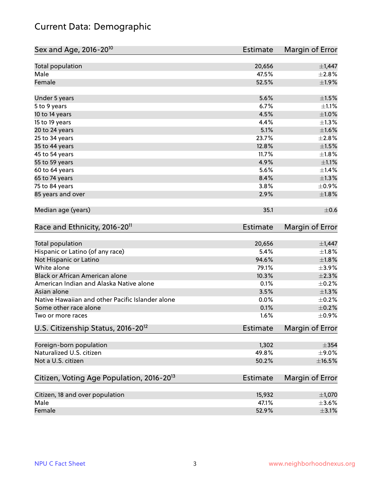## Current Data: Demographic

| Sex and Age, 2016-20 <sup>10</sup>                    | Estimate        | Margin of Error        |
|-------------------------------------------------------|-----------------|------------------------|
| Total population                                      | 20,656          | $\pm$ 1,447            |
| Male                                                  | 47.5%           | $\pm 2.8\%$            |
| Female                                                | 52.5%           | ±1.9%                  |
| Under 5 years                                         | 5.6%            | $\pm 1.5\%$            |
| 5 to 9 years                                          | 6.7%            | $\pm 1.1\%$            |
| 10 to 14 years                                        | 4.5%            | $\pm1.0\%$             |
| 15 to 19 years                                        | 4.4%            | $\pm 1.3\%$            |
| 20 to 24 years                                        | 5.1%            | $\pm 1.6\%$            |
| 25 to 34 years                                        | 23.7%           | ±2.8%                  |
| 35 to 44 years                                        | 12.8%           | $\pm 1.5\%$            |
| 45 to 54 years                                        | 11.7%           | $\pm1.8\%$             |
| 55 to 59 years                                        | 4.9%            | $\pm 1.1\%$            |
| 60 to 64 years                                        | 5.6%            | $\pm 1.4\%$            |
| 65 to 74 years                                        | 8.4%            | $\pm 1.3\%$            |
| 75 to 84 years                                        | 3.8%            | $\pm$ 0.9%             |
| 85 years and over                                     | 2.9%            | ±1.8%                  |
| Median age (years)                                    | 35.1            | $\pm$ 0.6              |
| Race and Ethnicity, 2016-20 <sup>11</sup>             | <b>Estimate</b> | Margin of Error        |
| Total population                                      | 20,656          | $\pm$ 1,447            |
| Hispanic or Latino (of any race)                      | 5.4%            | $\pm 1.8\%$            |
| Not Hispanic or Latino                                | 94.6%           | $\pm1.8\%$             |
| White alone                                           | 79.1%           | $\pm$ 3.9%             |
| Black or African American alone                       | 10.3%           | $\pm 2.3\%$            |
| American Indian and Alaska Native alone               | 0.1%            | $\pm$ 0.2%             |
| Asian alone                                           | 3.5%            | $\pm 1.3\%$            |
| Native Hawaiian and other Pacific Islander alone      | 0.0%            | $\pm$ 0.2%             |
| Some other race alone                                 | 0.1%            | $\pm$ 0.2%             |
| Two or more races                                     | 1.6%            | $\pm$ 0.9%             |
| U.S. Citizenship Status, 2016-20 <sup>12</sup>        | <b>Estimate</b> | <b>Margin of Error</b> |
| Foreign-born population                               | 1,302           | $\pm$ 354              |
| Naturalized U.S. citizen                              | 49.8%           | $\pm$ 9.0%             |
| Not a U.S. citizen                                    | 50.2%           | $\pm$ 16.5%            |
| Citizen, Voting Age Population, 2016-20 <sup>13</sup> | Estimate        | Margin of Error        |
| Citizen, 18 and over population                       | 15,932          | ±1,070                 |
| Male                                                  | 47.1%           | $\pm$ 3.6%             |
| Female                                                | 52.9%           | $\pm$ 3.1%             |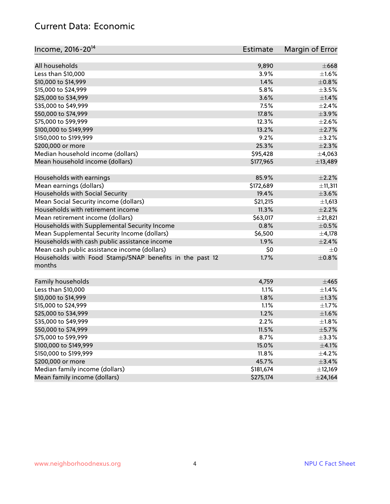#### Current Data: Economic

| Income, 2016-20 <sup>14</sup>                                                                 | Estimate  | Margin of Error |
|-----------------------------------------------------------------------------------------------|-----------|-----------------|
|                                                                                               |           |                 |
| All households                                                                                | 9,890     | $\pm 668$       |
| Less than \$10,000                                                                            | 3.9%      | $\pm 1.6\%$     |
| \$10,000 to \$14,999                                                                          | 1.4%      | $\pm$ 0.8%      |
| \$15,000 to \$24,999                                                                          | 5.8%      | $\pm$ 3.5%      |
| \$25,000 to \$34,999                                                                          | 3.6%      | $\pm$ 1.4%      |
| \$35,000 to \$49,999                                                                          | 7.5%      | $\pm 2.4\%$     |
| \$50,000 to \$74,999                                                                          | 17.8%     | $\pm$ 3.9%      |
| \$75,000 to \$99,999                                                                          | 12.3%     | $\pm 2.6\%$     |
| \$100,000 to \$149,999                                                                        | 13.2%     | $\pm 2.7\%$     |
| \$150,000 to \$199,999                                                                        | 9.2%      | $\pm$ 3.2%      |
| \$200,000 or more                                                                             | 25.3%     | $\pm 2.3\%$     |
| Median household income (dollars)                                                             | \$95,428  | ±4,063          |
| Mean household income (dollars)                                                               | \$177,965 | ±13,489         |
| Households with earnings                                                                      | 85.9%     | $\pm 2.2\%$     |
| Mean earnings (dollars)                                                                       | \$172,689 | ±11,311         |
| Households with Social Security                                                               | 19.4%     | $\pm 3.6\%$     |
| Mean Social Security income (dollars)                                                         | \$21,215  | ±1,613          |
| Households with retirement income                                                             | 11.3%     | $\pm 2.2\%$     |
| Mean retirement income (dollars)                                                              | \$63,017  | ±21,821         |
| Households with Supplemental Security Income                                                  | 0.8%      | $\pm$ 0.5%      |
| Mean Supplemental Security Income (dollars)                                                   | \$6,500   | $\pm$ 4,178     |
|                                                                                               | 1.9%      | $\pm 2.4\%$     |
| Households with cash public assistance income<br>Mean cash public assistance income (dollars) | \$0       | $\pm 0$         |
|                                                                                               |           |                 |
| Households with Food Stamp/SNAP benefits in the past 12<br>months                             | 1.7%      | $\pm$ 0.8%      |
| Family households                                                                             | 4,759     | ±465            |
| Less than \$10,000                                                                            | 1.1%      | $\pm$ 1.4%      |
| \$10,000 to \$14,999                                                                          | 1.8%      | $\pm 1.3\%$     |
| \$15,000 to \$24,999                                                                          | 1.1%      | $\pm 1.7\%$     |
| \$25,000 to \$34,999                                                                          | 1.2%      | $\pm1.6\%$      |
| \$35,000 to \$49,999                                                                          | 2.2%      | $\pm1.8\%$      |
| \$50,000 to \$74,999                                                                          | 11.5%     | $\pm$ 5.7%      |
| \$75,000 to \$99,999                                                                          | 8.7%      | $\pm$ 3.3%      |
| \$100,000 to \$149,999                                                                        | 15.0%     | $\pm$ 4.1%      |
| \$150,000 to \$199,999                                                                        | 11.8%     | $\pm$ 4.2%      |
| \$200,000 or more                                                                             | 45.7%     | $\pm$ 3.4%      |
| Median family income (dollars)                                                                | \$181,674 | ±12,169         |
| Mean family income (dollars)                                                                  | \$275,174 | $±$ 24,164      |
|                                                                                               |           |                 |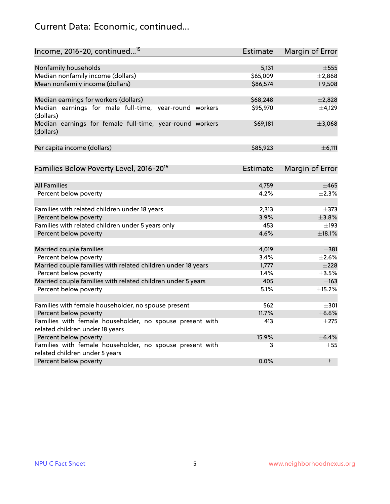## Current Data: Economic, continued...

| Income, 2016-20, continued <sup>15</sup>                                              | <b>Estimate</b> | <b>Margin of Error</b> |
|---------------------------------------------------------------------------------------|-----------------|------------------------|
|                                                                                       |                 |                        |
| Nonfamily households                                                                  | 5,131           | $\pm$ 555              |
| Median nonfamily income (dollars)                                                     | \$65,009        | ±2,868                 |
| Mean nonfamily income (dollars)                                                       | \$86,574        | ±9,508                 |
| Median earnings for workers (dollars)                                                 | \$68,248        | ±2,828                 |
| Median earnings for male full-time, year-round workers<br>(dollars)                   | \$95,970        | $\pm$ 4,129            |
| Median earnings for female full-time, year-round workers<br>(dollars)                 | \$69,181        | ±3,068                 |
| Per capita income (dollars)                                                           | \$85,923        | ±6,111                 |
| Families Below Poverty Level, 2016-20 <sup>16</sup>                                   | Estimate        | <b>Margin of Error</b> |
|                                                                                       |                 |                        |
| <b>All Families</b>                                                                   | 4,759           | $\pm 465$              |
| Percent below poverty                                                                 | 4.2%            | $\pm 2.3\%$            |
| Families with related children under 18 years                                         | 2,313           | $\pm$ 373              |
| Percent below poverty                                                                 | 3.9%            | $\pm$ 3.8%             |
| Families with related children under 5 years only                                     | 453             | $\pm$ 193              |
| Percent below poverty                                                                 | 4.6%            | ±18.1%                 |
| Married couple families                                                               | 4,019           | $\pm$ 381              |
| Percent below poverty                                                                 | 3.4%            | $\pm 2.6\%$            |
|                                                                                       | 1,777           | $\pm 228$              |
| Married couple families with related children under 18 years<br>Percent below poverty | 1.4%            | $\pm$ 3.5%             |
| Married couple families with related children under 5 years                           | 405             | $\pm$ 163              |
| Percent below poverty                                                                 | 5.1%            | ±15.2%                 |
|                                                                                       |                 |                        |
| Families with female householder, no spouse present                                   | 562             | $\pm 301$              |
| Percent below poverty                                                                 | 11.7%           | $\pm$ 6.6%             |
| Families with female householder, no spouse present with                              | 413             | $\pm 275$              |
| related children under 18 years                                                       |                 |                        |
| Percent below poverty                                                                 | 15.9%           | $\pm$ 6.4%             |
| Families with female householder, no spouse present with                              | 3               | $\pm$ 55               |
| related children under 5 years                                                        |                 |                        |
| Percent below poverty                                                                 | 0.0%            | $\ddagger$             |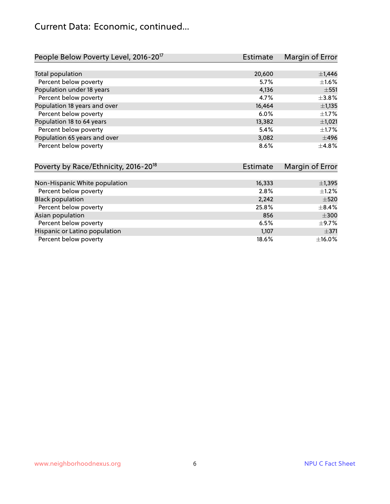## Current Data: Economic, continued...

| People Below Poverty Level, 2016-20 <sup>17</sup> | <b>Estimate</b> | Margin of Error |
|---------------------------------------------------|-----------------|-----------------|
|                                                   |                 |                 |
| Total population                                  | 20,600          | $\pm$ 1,446     |
| Percent below poverty                             | 5.7%            | $\pm 1.6\%$     |
| Population under 18 years                         | 4,136           | $\pm$ 551       |
| Percent below poverty                             | 4.7%            | $\pm$ 3.8%      |
| Population 18 years and over                      | 16,464          | $\pm$ 1,135     |
| Percent below poverty                             | 6.0%            | $\pm$ 1.7%      |
| Population 18 to 64 years                         | 13,382          | ±1,021          |
| Percent below poverty                             | 5.4%            | $\pm$ 1.7%      |
| Population 65 years and over                      | 3,082           | $\pm 496$       |
| Percent below poverty                             | 8.6%            | ±4.8%           |

| Poverty by Race/Ethnicity, 2016-20 <sup>18</sup> | Estimate | Margin of Error |
|--------------------------------------------------|----------|-----------------|
|                                                  |          |                 |
| Non-Hispanic White population                    | 16,333   | ±1,395          |
| Percent below poverty                            | 2.8%     | $\pm$ 1.2%      |
| <b>Black population</b>                          | 2,242    | $\pm$ 520       |
| Percent below poverty                            | 25.8%    | $\pm$ 8.4%      |
| Asian population                                 | 856      | $\pm 300$       |
| Percent below poverty                            | 6.5%     | $\pm$ 9.7%      |
| Hispanic or Latino population                    | 1,107    | $\pm$ 371       |
| Percent below poverty                            | 18.6%    | $\pm$ 16.0%     |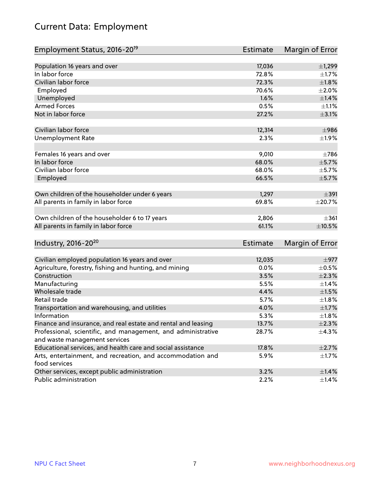## Current Data: Employment

| Employment Status, 2016-20 <sup>19</sup>                      | Estimate | Margin of Error |
|---------------------------------------------------------------|----------|-----------------|
|                                                               |          |                 |
| Population 16 years and over                                  | 17,036   | ±1,299          |
| In labor force                                                | 72.8%    | ±1.7%           |
| Civilian labor force                                          | 72.3%    | ±1.8%           |
| Employed                                                      | 70.6%    | $\pm 2.0\%$     |
| Unemployed                                                    | 1.6%     | $\pm$ 1.4%      |
| <b>Armed Forces</b>                                           | 0.5%     | $\pm 1.1\%$     |
| Not in labor force                                            | 27.2%    | $\pm$ 3.1%      |
| Civilian labor force                                          | 12,314   | $\pm$ 986       |
| <b>Unemployment Rate</b>                                      | 2.3%     | ±1.9%           |
|                                                               |          |                 |
| Females 16 years and over                                     | 9,010    | $\pm 786$       |
| In labor force                                                | 68.0%    | $\pm$ 5.7%      |
| Civilian labor force                                          | 68.0%    | $\pm$ 5.7%      |
| Employed                                                      | 66.5%    | $\pm$ 5.7%      |
|                                                               | 1,297    | $\pm$ 391       |
| Own children of the householder under 6 years                 |          |                 |
| All parents in family in labor force                          | 69.8%    | ±20.7%          |
| Own children of the householder 6 to 17 years                 | 2,806    | $\pm$ 361       |
| All parents in family in labor force                          | 61.1%    | $\pm 10.5\%$    |
|                                                               |          |                 |
| Industry, 2016-20 <sup>20</sup>                               | Estimate | Margin of Error |
| Civilian employed population 16 years and over                | 12,035   | $\pm$ 977       |
| Agriculture, forestry, fishing and hunting, and mining        | 0.0%     | $\pm$ 0.5%      |
| Construction                                                  | 3.5%     | $\pm 2.3\%$     |
| Manufacturing                                                 | 5.5%     | $\pm$ 1.4%      |
| Wholesale trade                                               | 4.4%     | $\pm1.5\%$      |
| Retail trade                                                  | 5.7%     | $\pm1.8\%$      |
| Transportation and warehousing, and utilities                 | 4.0%     | $\pm1.7\%$      |
| Information                                                   | 5.3%     | $\pm1.8\%$      |
| Finance and insurance, and real estate and rental and leasing | 13.7%    | $\pm 2.3\%$     |
| Professional, scientific, and management, and administrative  | 28.7%    | $\pm$ 4.3%      |
| and waste management services                                 |          |                 |
| Educational services, and health care and social assistance   | 17.8%    | $\pm 2.7\%$     |
| Arts, entertainment, and recreation, and accommodation and    | 5.9%     | $\pm$ 1.7%      |
| food services                                                 |          |                 |
| Other services, except public administration                  | 3.2%     | $\pm$ 1.4%      |
| Public administration                                         | 2.2%     | $\pm$ 1.4%      |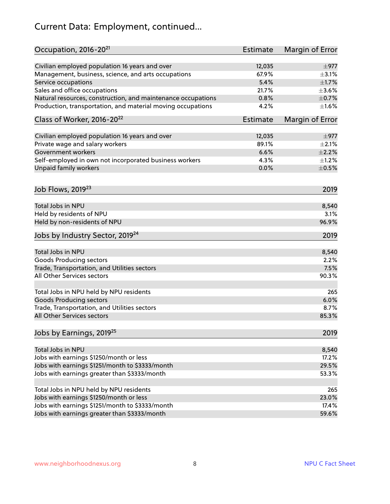## Current Data: Employment, continued...

| Occupation, 2016-20 <sup>21</sup>                                              | <b>Estimate</b> | Margin of Error |
|--------------------------------------------------------------------------------|-----------------|-----------------|
| Civilian employed population 16 years and over                                 | 12,035          | $\pm$ 977       |
| Management, business, science, and arts occupations                            | 67.9%           | $\pm$ 3.1%      |
| Service occupations                                                            | 5.4%            | $\pm1.7\%$      |
| Sales and office occupations                                                   | 21.7%           | $\pm 3.6\%$     |
| Natural resources, construction, and maintenance occupations                   | 0.8%            | $\pm$ 0.7%      |
| Production, transportation, and material moving occupations                    | 4.2%            | $\pm1.6\%$      |
| Class of Worker, 2016-20 <sup>22</sup>                                         | <b>Estimate</b> | Margin of Error |
| Civilian employed population 16 years and over                                 | 12,035          | $\pm$ 977       |
| Private wage and salary workers                                                | 89.1%           | $\pm 2.1\%$     |
| Government workers                                                             | 6.6%            | $\pm 2.2\%$     |
| Self-employed in own not incorporated business workers                         | 4.3%            | $\pm 1.2\%$     |
| Unpaid family workers                                                          | 0.0%            | $\pm$ 0.5%      |
| Job Flows, 2019 <sup>23</sup>                                                  |                 | 2019            |
| Total Jobs in NPU                                                              |                 | 8,540           |
| Held by residents of NPU                                                       |                 | 3.1%            |
| Held by non-residents of NPU                                                   |                 | 96.9%           |
| Jobs by Industry Sector, 2019 <sup>24</sup>                                    |                 | 2019            |
| Total Jobs in NPU                                                              |                 |                 |
|                                                                                |                 | 8,540<br>2.2%   |
| <b>Goods Producing sectors</b><br>Trade, Transportation, and Utilities sectors |                 | 7.5%            |
| All Other Services sectors                                                     |                 |                 |
|                                                                                |                 | 90.3%           |
| Total Jobs in NPU held by NPU residents                                        |                 | 265             |
| <b>Goods Producing sectors</b>                                                 |                 | 6.0%            |
| Trade, Transportation, and Utilities sectors                                   |                 | 8.7%            |
| All Other Services sectors                                                     |                 | 85.3%           |
| Jobs by Earnings, 2019 <sup>25</sup>                                           |                 | 2019            |
| Total Jobs in NPU                                                              |                 | 8,540           |
| Jobs with earnings \$1250/month or less                                        |                 | 17.2%           |
| Jobs with earnings \$1251/month to \$3333/month                                |                 | 29.5%           |
| Jobs with earnings greater than \$3333/month                                   |                 | 53.3%           |
|                                                                                |                 |                 |
| Total Jobs in NPU held by NPU residents                                        |                 | 265             |
| Jobs with earnings \$1250/month or less                                        |                 | 23.0%           |
| Jobs with earnings \$1251/month to \$3333/month                                |                 | 17.4%           |
| Jobs with earnings greater than \$3333/month                                   |                 | 59.6%           |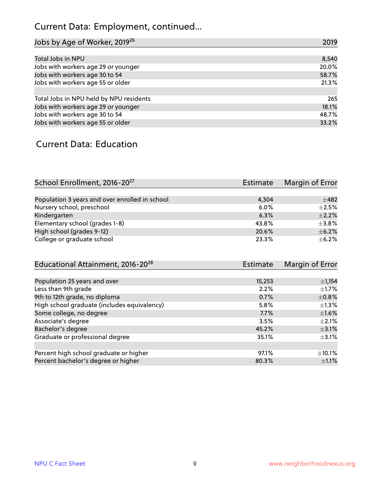## Current Data: Employment, continued...

| Jobs by Age of Worker, 2019 <sup>26</sup> | 2019  |
|-------------------------------------------|-------|
|                                           |       |
| Total Jobs in NPU                         | 8,540 |
| Jobs with workers age 29 or younger       | 20.0% |
| Jobs with workers age 30 to 54            | 58.7% |
| Jobs with workers age 55 or older         | 21.3% |
|                                           |       |
| Total Jobs in NPU held by NPU residents   | 265   |
| Jobs with workers age 29 or younger       | 18.1% |
| Jobs with workers age 30 to 54            | 48.7% |
| Jobs with workers age 55 or older         | 33.2% |

#### Current Data: Education

| School Enrollment, 2016-20 <sup>27</sup>       | Estimate | Margin of Error |
|------------------------------------------------|----------|-----------------|
|                                                |          |                 |
| Population 3 years and over enrolled in school | 4.304    | $+482$          |
| Nursery school, preschool                      | 6.0%     | $\pm 2.5\%$     |
| Kindergarten                                   | 6.3%     | $\pm 2.2\%$     |
| Elementary school (grades 1-8)                 | 43.8%    | $\pm$ 3.8%      |
| High school (grades 9-12)                      | 20.6%    | $+6.2%$         |
| College or graduate school                     | 23.3%    | $\pm$ 6.2%      |

| Educational Attainment, 2016-20 <sup>28</sup> | <b>Estimate</b> | Margin of Error |
|-----------------------------------------------|-----------------|-----------------|
|                                               |                 |                 |
| Population 25 years and over                  | 15,253          | $\pm$ 1,154     |
| Less than 9th grade                           | 2.2%            | $\pm$ 1.7%      |
| 9th to 12th grade, no diploma                 | 0.7%            | $\pm 0.8\%$     |
| High school graduate (includes equivalency)   | 5.8%            | $\pm 1.3\%$     |
| Some college, no degree                       | $7.7\%$         | $\pm1.6\%$      |
| Associate's degree                            | 3.5%            | $\pm 2.1\%$     |
| Bachelor's degree                             | 45.2%           | $\pm$ 3.1%      |
| Graduate or professional degree               | 35.1%           | $\pm$ 3.1%      |
|                                               |                 |                 |
| Percent high school graduate or higher        | 97.1%           | $\pm$ 10.1%     |
| Percent bachelor's degree or higher           | 80.3%           | $\pm 1.1\%$     |
|                                               |                 |                 |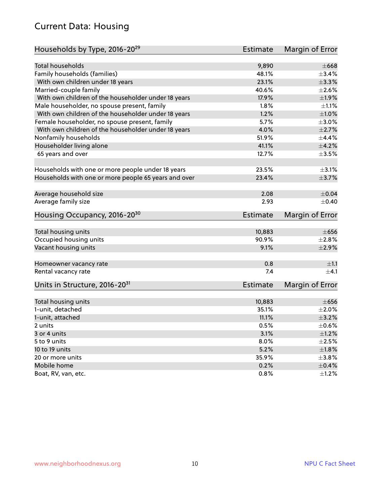#### Current Data: Housing

| Households by Type, 2016-20 <sup>29</sup>            | <b>Estimate</b> | Margin of Error |
|------------------------------------------------------|-----------------|-----------------|
|                                                      |                 |                 |
| <b>Total households</b>                              | 9,890           | $\pm$ 668       |
| Family households (families)                         | 48.1%           | ±3.4%           |
| With own children under 18 years                     | 23.1%           | $\pm$ 3.3%      |
| Married-couple family                                | 40.6%           | $\pm 2.6\%$     |
| With own children of the householder under 18 years  | 17.9%           | ±1.9%           |
| Male householder, no spouse present, family          | 1.8%            | $\pm 1.1\%$     |
| With own children of the householder under 18 years  | 1.2%            | ±1.0%           |
| Female householder, no spouse present, family        | 5.7%            | $\pm 3.0\%$     |
| With own children of the householder under 18 years  | 4.0%            | $\pm 2.7\%$     |
| Nonfamily households                                 | 51.9%           | $\pm$ 4.4%      |
| Householder living alone                             | 41.1%           | $\pm 4.2\%$     |
| 65 years and over                                    | 12.7%           | $\pm 3.5\%$     |
|                                                      |                 |                 |
| Households with one or more people under 18 years    | 23.5%           | $\pm$ 3.1%      |
| Households with one or more people 65 years and over | 23.4%           | $\pm$ 3.7%      |
|                                                      |                 |                 |
| Average household size                               | 2.08            | $\pm 0.04$      |
| Average family size                                  | 2.93            | $\pm$ 0.40      |
| Housing Occupancy, 2016-20 <sup>30</sup>             | <b>Estimate</b> | Margin of Error |
|                                                      |                 |                 |
| Total housing units                                  | 10,883          | $\pm 656$       |
| Occupied housing units                               | 90.9%           | $\pm 2.8\%$     |
| Vacant housing units                                 | 9.1%            | $\pm 2.9\%$     |
|                                                      |                 |                 |
| Homeowner vacancy rate                               | 0.8             | $\pm 1.1$       |
| Rental vacancy rate                                  | 7.4             | $\pm$ 4.1       |
| Units in Structure, 2016-20 <sup>31</sup>            | <b>Estimate</b> | Margin of Error |
|                                                      |                 |                 |
| Total housing units                                  | 10,883          | $\pm 656$       |
| 1-unit, detached                                     | 35.1%           | $\pm 2.0\%$     |
| 1-unit, attached                                     | 11.1%           | $\pm$ 3.2%      |
| 2 units                                              | 0.5%            | $\pm$ 0.6%      |
| 3 or 4 units                                         | 3.1%            | ±1.2%           |
| 5 to 9 units                                         | 8.0%            | $\pm 2.5\%$     |
|                                                      | 5.2%            | ±1.8%           |
| 10 to 19 units                                       | 35.9%           | $\pm$ 3.8%      |
| 20 or more units                                     |                 |                 |
| Mobile home                                          | 0.2%            | $\pm$ 0.4%      |
| Boat, RV, van, etc.                                  | 0.8%            | $\pm$ 1.2%      |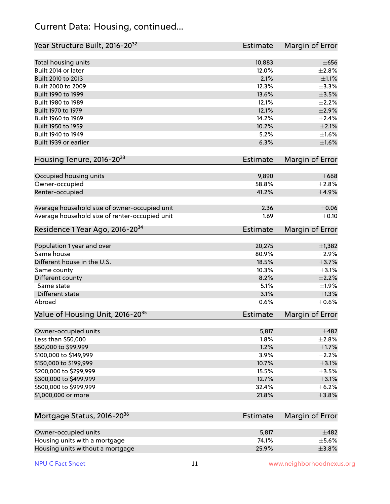#### Current Data: Housing, continued...

| Year Structure Built, 2016-20 <sup>32</sup>    | Estimate        | Margin of Error |
|------------------------------------------------|-----------------|-----------------|
| Total housing units                            | 10,883          | $\pm 656$       |
| Built 2014 or later                            | 12.0%           | $\pm 2.8\%$     |
| Built 2010 to 2013                             | 2.1%            | $\pm 1.1\%$     |
| Built 2000 to 2009                             | 12.3%           | $\pm$ 3.3%      |
| Built 1990 to 1999                             | 13.6%           | $\pm 3.5\%$     |
| Built 1980 to 1989                             | 12.1%           | $\pm 2.2\%$     |
| Built 1970 to 1979                             | 12.1%           | $\pm 2.9\%$     |
| Built 1960 to 1969                             | 14.2%           | $\pm 2.4\%$     |
| Built 1950 to 1959                             | 10.2%           | $\pm 2.1\%$     |
| Built 1940 to 1949                             | 5.2%            | $\pm1.6\%$      |
| Built 1939 or earlier                          | 6.3%            | $\pm1.6\%$      |
| Housing Tenure, 2016-2033                      | <b>Estimate</b> | Margin of Error |
|                                                |                 |                 |
| Occupied housing units                         | 9,890           | $\pm 668$       |
| Owner-occupied                                 | 58.8%           | $\pm 2.8\%$     |
| Renter-occupied                                | 41.2%           | $\pm$ 4.9%      |
| Average household size of owner-occupied unit  | 2.36            | $\pm 0.06$      |
| Average household size of renter-occupied unit | 1.69            | $\pm$ 0.10      |
| Residence 1 Year Ago, 2016-20 <sup>34</sup>    | Estimate        | Margin of Error |
|                                                |                 |                 |
| Population 1 year and over                     | 20,275          | $\pm$ 1,382     |
| Same house                                     | 80.9%           | $\pm 2.9\%$     |
| Different house in the U.S.                    | 18.5%           | $\pm$ 3.7%      |
| Same county                                    | 10.3%           | $\pm$ 3.1%      |
| Different county                               | 8.2%            | $\pm 2.2\%$     |
| Same state                                     | 5.1%            | ±1.9%           |
| Different state                                | 3.1%            | $\pm 1.3\%$     |
| Abroad                                         | 0.6%            | $\pm$ 0.6%      |
| Value of Housing Unit, 2016-20 <sup>35</sup>   | Estimate        | Margin of Error |
| Owner-occupied units                           | 5,817           | $\pm$ 482       |
| Less than \$50,000                             | 1.8%            | ±2.8%           |
| \$50,000 to \$99,999                           | 1.2%            | $\pm 1.7\%$     |
| \$100,000 to \$149,999                         | 3.9%            | $\pm 2.2\%$     |
| \$150,000 to \$199,999                         | 10.7%           | $\pm$ 3.1%      |
| \$200,000 to \$299,999                         | 15.5%           | $\pm$ 3.5%      |
| \$300,000 to \$499,999                         | 12.7%           | $\pm$ 3.1%      |
| \$500,000 to \$999,999                         | 32.4%           | $\pm$ 6.2%      |
| \$1,000,000 or more                            | 21.8%           | $\pm$ 3.8%      |
|                                                |                 |                 |
| Mortgage Status, 2016-20 <sup>36</sup>         | Estimate        | Margin of Error |
| Owner-occupied units                           | 5,817           | $\pm$ 482       |
| Housing units with a mortgage                  | 74.1%           | $\pm$ 5.6%      |
| Housing units without a mortgage               | 25.9%           | ±3.8%           |

Housing units without a mortgage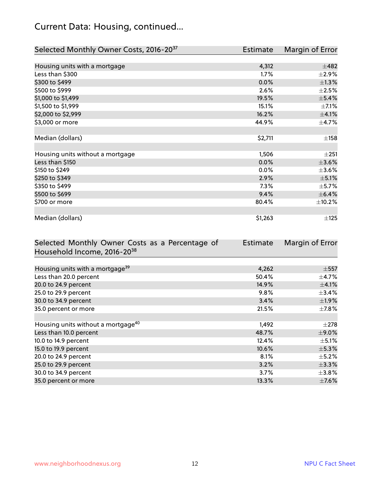## Current Data: Housing, continued...

| Selected Monthly Owner Costs, 2016-20 <sup>37</sup> | Estimate | Margin of Error |
|-----------------------------------------------------|----------|-----------------|
|                                                     |          |                 |
| Housing units with a mortgage                       | 4,312    | $\pm$ 482       |
| Less than \$300                                     | 1.7%     | $\pm 2.9\%$     |
| \$300 to \$499                                      | 0.0%     | $\pm$ 1.3%      |
| \$500 to \$999                                      | 2.6%     | $\pm 2.5\%$     |
| \$1,000 to \$1,499                                  | 19.5%    | ±5.4%           |
| \$1,500 to \$1,999                                  | 15.1%    | $\pm$ 7.1%      |
| \$2,000 to \$2,999                                  | 16.2%    | $\pm$ 4.1%      |
| \$3,000 or more                                     | 44.9%    | $\pm$ 4.7%      |
|                                                     |          |                 |
| Median (dollars)                                    | \$2,711  | ±158            |
|                                                     |          |                 |
| Housing units without a mortgage                    | 1,506    | ±251            |
| Less than \$150                                     | $0.0\%$  | $\pm$ 3.6%      |
| \$150 to \$249                                      | $0.0\%$  | $\pm$ 3.6%      |
| \$250 to \$349                                      | 2.9%     | $\pm$ 5.1%      |
| \$350 to \$499                                      | 7.3%     | $\pm$ 5.7%      |
| \$500 to \$699                                      | 9.4%     | $\pm$ 6.4%      |
| \$700 or more                                       | 80.4%    | $\pm$ 10.2%     |
|                                                     |          |                 |
| Median (dollars)                                    | \$1,263  | $\pm$ 125       |

| Selected Monthly Owner Costs as a Percentage of | <b>Estimate</b> | Margin of Error |
|-------------------------------------------------|-----------------|-----------------|
| Household Income, 2016-20 <sup>38</sup>         |                 |                 |
|                                                 |                 |                 |
| Housing units with a mortgage <sup>39</sup>     | 4,262           | $\pm$ 557       |
| Less than 20.0 percent                          | 50.4%           | $\pm$ 4.7%      |
| 20.0 to 24.9 percent                            | 14.9%           | $\pm$ 4.1%      |
| 25.0 to 29.9 percent                            | 9.8%            | $\pm$ 3.4%      |
| 30.0 to 34.9 percent                            | 3.4%            | $\pm$ 1.9%      |
| 35.0 percent or more                            | 21.5%           | $\pm$ 7.8%      |
|                                                 |                 |                 |
| Housing units without a mortgage <sup>40</sup>  | 1,492           | $\pm 278$       |
| Less than 10.0 percent                          | 48.7%           | $\pm$ 9.0%      |
| 10.0 to 14.9 percent                            | 12.4%           | $\pm$ 5.1%      |
| 15.0 to 19.9 percent                            | 10.6%           | $\pm$ 5.3%      |
| 20.0 to 24.9 percent                            | 8.1%            | $\pm$ 5.2%      |
| 25.0 to 29.9 percent                            | 3.2%            | $\pm$ 3.3%      |
| 30.0 to 34.9 percent                            | 3.7%            | $\pm$ 3.8%      |
| 35.0 percent or more                            | 13.3%           | $\pm$ 7.6%      |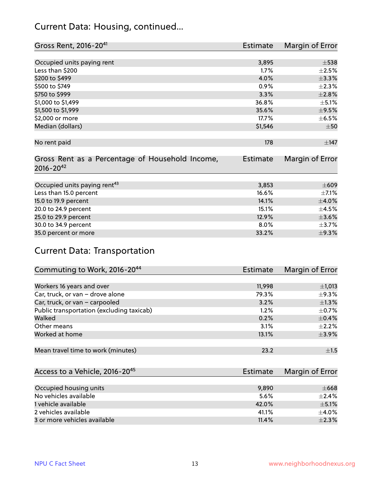#### Current Data: Housing, continued...

| Gross Rent, 2016-20 <sup>41</sup>               | <b>Estimate</b> | Margin of Error |
|-------------------------------------------------|-----------------|-----------------|
|                                                 |                 |                 |
| Occupied units paying rent                      | 3,895           | $\pm$ 538       |
| Less than \$200                                 | 1.7%            | $\pm 2.5\%$     |
| \$200 to \$499                                  | 4.0%            | ±3.3%           |
| \$500 to \$749                                  | 0.9%            | $\pm 2.3\%$     |
| \$750 to \$999                                  | 3.3%            | ±2.8%           |
| \$1,000 to \$1,499                              | 36.8%           | $\pm$ 5.1%      |
| \$1,500 to \$1,999                              | 35.6%           | $\pm$ 9.5%      |
| \$2,000 or more                                 | 17.7%           | $\pm$ 6.5%      |
| Median (dollars)                                | \$1,546         | $\pm 50$        |
|                                                 |                 |                 |
| No rent paid                                    | 178             | $\pm$ 147       |
|                                                 |                 |                 |
| Gross Rent as a Percentage of Household Income, | <b>Estimate</b> | Margin of Error |
| $2016 - 20^{42}$                                |                 |                 |
|                                                 |                 |                 |
| Occupied units paying rent <sup>43</sup>        | 3,853           | $\pm 609$       |
| Less than 15.0 percent                          | 16.6%           | $\pm$ 7.1%      |
| 15.0 to 19.9 percent                            | 14.1%           | $\pm$ 4.0%      |
| 20.0 to 24.9 percent                            | 15.1%           | $\pm$ 4.5%      |
| 25.0 to 29.9 percent                            | 12.9%           | $\pm 3.6\%$     |
| 30.0 to 34.9 percent                            | 8.0%            | $\pm$ 3.7%      |
| 35.0 percent or more                            | 33.2%           | $\pm$ 9.3%      |

## Current Data: Transportation

| Commuting to Work, 2016-20 <sup>44</sup>  | <b>Estimate</b> | Margin of Error |
|-------------------------------------------|-----------------|-----------------|
|                                           |                 |                 |
| Workers 16 years and over                 | 11,998          | $\pm$ 1,013     |
| Car, truck, or van - drove alone          | 79.3%           | $\pm$ 9.3%      |
| Car, truck, or van - carpooled            | 3.2%            | $\pm 1.3\%$     |
| Public transportation (excluding taxicab) | $1.2\%$         | $\pm$ 0.7%      |
| Walked                                    | 0.2%            | $\pm$ 0.4%      |
| Other means                               | 3.1%            | $\pm 2.2\%$     |
| Worked at home                            | 13.1%           | $\pm$ 3.9%      |
|                                           |                 |                 |
| Mean travel time to work (minutes)        | 23.2            | ±1.5            |

| Access to a Vehicle, 2016-20 <sup>45</sup> | Estimate | Margin of Error |
|--------------------------------------------|----------|-----------------|
|                                            |          |                 |
| Occupied housing units                     | 9,890    | $\pm 668$       |
| No vehicles available                      | 5.6%     | $+2.4%$         |
| 1 vehicle available                        | 42.0%    | $\pm$ 5.1%      |
| 2 vehicles available                       | 41.1%    | $+4.0%$         |
| 3 or more vehicles available               | 11.4%    | $\pm 2.3\%$     |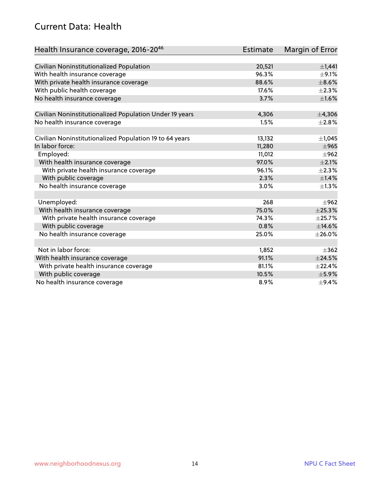#### Current Data: Health

| Health Insurance coverage, 2016-2046                    | <b>Estimate</b> | Margin of Error |
|---------------------------------------------------------|-----------------|-----------------|
|                                                         |                 |                 |
| Civilian Noninstitutionalized Population                | 20,521          | $\pm$ 1,441     |
| With health insurance coverage                          | 96.3%           | $\pm$ 9.1%      |
| With private health insurance coverage                  | 88.6%           | $\pm$ 8.6%      |
| With public health coverage                             | 17.6%           | $\pm 2.3\%$     |
| No health insurance coverage                            | 3.7%            | $\pm1.6\%$      |
| Civilian Noninstitutionalized Population Under 19 years | 4,306           | ±4,306          |
| No health insurance coverage                            | 1.5%            | $\pm 2.8\%$     |
|                                                         |                 |                 |
| Civilian Noninstitutionalized Population 19 to 64 years | 13,132          | ±1,045          |
| In labor force:                                         | 11,280          | $\pm$ 965       |
| Employed:                                               | 11,012          | $\pm$ 962       |
| With health insurance coverage                          | 97.0%           | $\pm 2.1\%$     |
| With private health insurance coverage                  | 96.1%           | $\pm 2.3\%$     |
| With public coverage                                    | 2.3%            | $\pm$ 1.4%      |
| No health insurance coverage                            | 3.0%            | $\pm 1.3\%$     |
|                                                         |                 |                 |
| Unemployed:                                             | 268             | $\pm$ 962       |
| With health insurance coverage                          | 75.0%           | ±25.3%          |
| With private health insurance coverage                  | 74.3%           | $\pm$ 25.7%     |
| With public coverage                                    | 0.8%            | ±14.6%          |
| No health insurance coverage                            | 25.0%           | $\pm 26.0\%$    |
|                                                         |                 |                 |
| Not in labor force:                                     | 1,852           | $+362$          |
| With health insurance coverage                          | 91.1%           | $\pm$ 24.5%     |
| With private health insurance coverage                  | 81.1%           | ±22.4%          |
| With public coverage                                    | 10.5%           | $\pm$ 5.9%      |
| No health insurance coverage                            | 8.9%            | $\pm$ 9.4%      |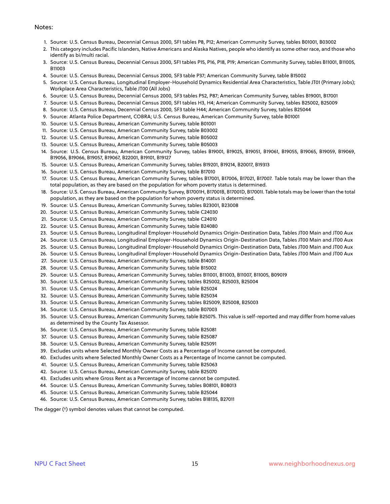#### Notes:

- 1. Source: U.S. Census Bureau, Decennial Census 2000, SF1 tables P8, P12; American Community Survey, tables B01001, B03002
- 2. This category includes Pacific Islanders, Native Americans and Alaska Natives, people who identify as some other race, and those who identify as bi/multi racial.
- 3. Source: U.S. Census Bureau, Decennial Census 2000, SF1 tables P15, P16, P18, P19; American Community Survey, tables B11001, B11005, B11003
- 4. Source: U.S. Census Bureau, Decennial Census 2000, SF3 table P37; American Community Survey, table B15002
- 5. Source: U.S. Census Bureau, Longitudinal Employer-Household Dynamics Residential Area Characteristics, Table JT01 (Primary Jobs); Workplace Area Characteristics, Table JT00 (All Jobs)
- 6. Source: U.S. Census Bureau, Decennial Census 2000, SF3 tables P52, P87; American Community Survey, tables B19001, B17001
- 7. Source: U.S. Census Bureau, Decennial Census 2000, SF1 tables H3, H4; American Community Survey, tables B25002, B25009
- 8. Source: U.S. Census Bureau, Decennial Census 2000, SF3 table H44; American Community Survey, tables B25044
- 9. Source: Atlanta Police Department, COBRA; U.S. Census Bureau, American Community Survey, table B01001
- 10. Source: U.S. Census Bureau, American Community Survey, table B01001
- 11. Source: U.S. Census Bureau, American Community Survey, table B03002
- 12. Source: U.S. Census Bureau, American Community Survey, table B05002
- 13. Source: U.S. Census Bureau, American Community Survey, table B05003
- 14. Source: U.S. Census Bureau, American Community Survey, tables B19001, B19025, B19051, B19061, B19055, B19065, B19059, B19069, B19056, B19066, B19057, B19067, B22001, B19101, B19127
- 15. Source: U.S. Census Bureau, American Community Survey, tables B19201, B19214, B20017, B19313
- 16. Source: U.S. Census Bureau, American Community Survey, table B17010
- 17. Source: U.S. Census Bureau, American Community Survey, tables B17001, B17006, B17021, B17007. Table totals may be lower than the total population, as they are based on the population for whom poverty status is determined.
- 18. Source: U.S. Census Bureau, American Community Survey, B17001H, B17001B, B17001D, B17001I. Table totals may be lower than the total population, as they are based on the population for whom poverty status is determined.
- 19. Source: U.S. Census Bureau, American Community Survey, tables B23001, B23008
- 20. Source: U.S. Census Bureau, American Community Survey, table C24030
- 21. Source: U.S. Census Bureau, American Community Survey, table C24010
- 22. Source: U.S. Census Bureau, American Community Survey, table B24080
- 23. Source: U.S. Census Bureau, Longitudinal Employer-Household Dynamics Origin-Destination Data, Tables JT00 Main and JT00 Aux
- 24. Source: U.S. Census Bureau, Longitudinal Employer-Household Dynamics Origin-Destination Data, Tables JT00 Main and JT00 Aux
- 25. Source: U.S. Census Bureau, Longitudinal Employer-Household Dynamics Origin-Destination Data, Tables JT00 Main and JT00 Aux
- 26. Source: U.S. Census Bureau, Longitudinal Employer-Household Dynamics Origin-Destination Data, Tables JT00 Main and JT00 Aux
- 27. Source: U.S. Census Bureau, American Community Survey, table B14001
- 28. Source: U.S. Census Bureau, American Community Survey, table B15002
- 29. Source: U.S. Census Bureau, American Community Survey, tables B11001, B11003, B11007, B11005, B09019
- 30. Source: U.S. Census Bureau, American Community Survey, tables B25002, B25003, B25004
- 31. Source: U.S. Census Bureau, American Community Survey, table B25024
- 32. Source: U.S. Census Bureau, American Community Survey, table B25034
- 33. Source: U.S. Census Bureau, American Community Survey, tables B25009, B25008, B25003
- 34. Source: U.S. Census Bureau, American Community Survey, table B07003
- 35. Source: U.S. Census Bureau, American Community Survey, table B25075. This value is self-reported and may differ from home values as determined by the County Tax Assessor.
- 36. Source: U.S. Census Bureau, American Community Survey, table B25081
- 37. Source: U.S. Census Bureau, American Community Survey, table B25087
- 38. Source: U.S. Census Bureau, American Community Survey, table B25091
- 39. Excludes units where Selected Monthly Owner Costs as a Percentage of Income cannot be computed.
- 40. Excludes units where Selected Monthly Owner Costs as a Percentage of Income cannot be computed.
- 41. Source: U.S. Census Bureau, American Community Survey, table B25063
- 42. Source: U.S. Census Bureau, American Community Survey, table B25070
- 43. Excludes units where Gross Rent as a Percentage of Income cannot be computed.
- 44. Source: U.S. Census Bureau, American Community Survey, tables B08101, B08013
- 45. Source: U.S. Census Bureau, American Community Survey, table B25044
- 46. Source: U.S. Census Bureau, American Community Survey, tables B18135, B27011

The dagger (†) symbol denotes values that cannot be computed.